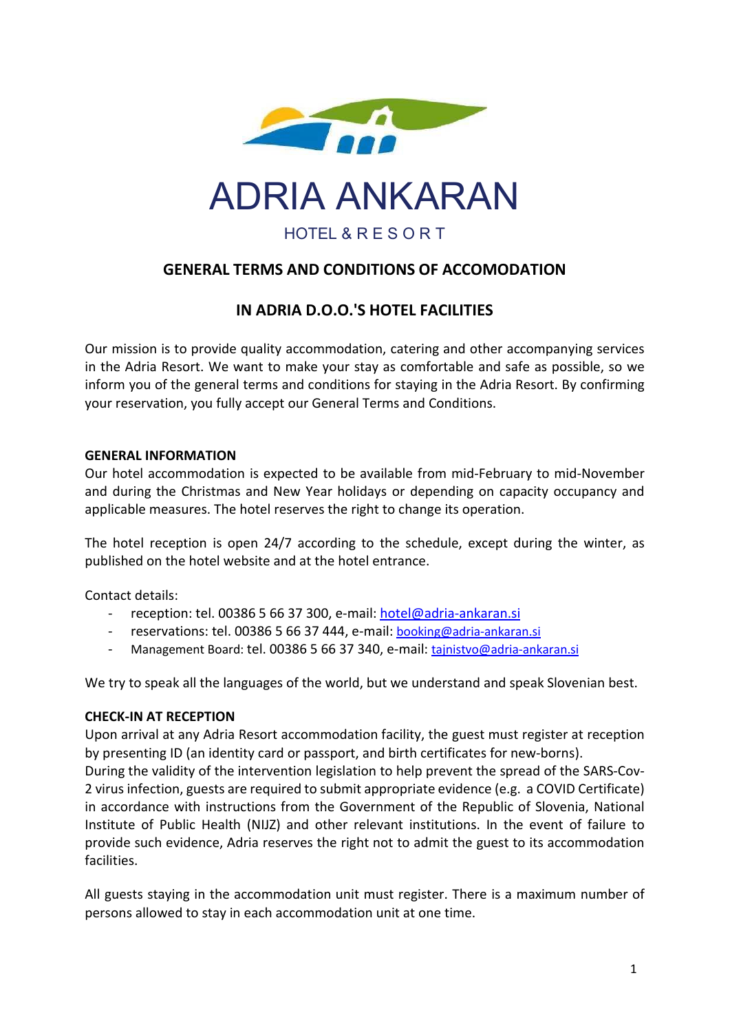

ADRIA ANKARAN

HOTEL & R E S O R T

# GENERAL TERMS AND CONDITIONS OF ACCOMODATION

# IN ADRIA D.O.O.'S HOTEL FACILITIES

Our mission is to provide quality accommodation, catering and other accompanying services in the Adria Resort. We want to make your stay as comfortable and safe as possible, so we inform you of the general terms and conditions for staying in the Adria Resort. By confirming your reservation, you fully accept our General Terms and Conditions.

#### GENERAL INFORMATION

Our hotel accommodation is expected to be available from mid-February to mid-November and during the Christmas and New Year holidays or depending on capacity occupancy and applicable measures. The hotel reserves the right to change its operation.

The hotel reception is open 24/7 according to the schedule, except during the winter, as published on the hotel website and at the hotel entrance.

Contact details:

- reception: tel. 00386 5 66 37 300, e-mail: hotel@adria-ankaran.si
- reservations: tel. 00386 5 66 37 444, e-mail: booking@adria-ankaran.si
- Management Board: tel. 00386 5 66 37 340, e-mail: tajnistvo@adria-ankaran.si

We try to speak all the languages of the world, but we understand and speak Slovenian best.

# CHECK-IN AT RECEPTION

Upon arrival at any Adria Resort accommodation facility, the guest must register at reception by presenting ID (an identity card or passport, and birth certificates for new-borns).

During the validity of the intervention legislation to help prevent the spread of the SARS-Cov-2 virus infection, guests are required to submit appropriate evidence (e.g. a COVID Certificate) in accordance with instructions from the Government of the Republic of Slovenia, National Institute of Public Health (NIJZ) and other relevant institutions. In the event of failure to provide such evidence, Adria reserves the right not to admit the guest to its accommodation facilities.

All guests staying in the accommodation unit must register. There is a maximum number of persons allowed to stay in each accommodation unit at one time.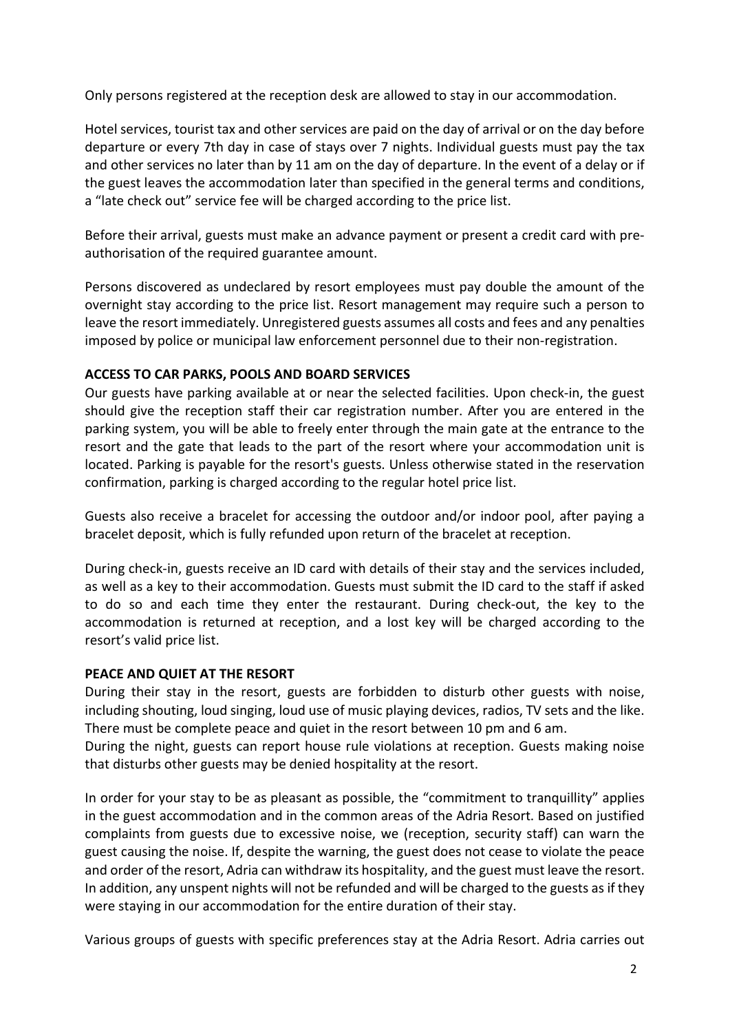Only persons registered at the reception desk are allowed to stay in our accommodation.

Hotel services, tourist tax and other services are paid on the day of arrival or on the day before departure or every 7th day in case of stays over 7 nights. Individual guests must pay the tax and other services no later than by 11 am on the day of departure. In the event of a delay or if the guest leaves the accommodation later than specified in the general terms and conditions, a "late check out" service fee will be charged according to the price list.

Before their arrival, guests must make an advance payment or present a credit card with preauthorisation of the required guarantee amount.

Persons discovered as undeclared by resort employees must pay double the amount of the overnight stay according to the price list. Resort management may require such a person to leave the resort immediately. Unregistered guests assumes all costs and fees and any penalties imposed by police or municipal law enforcement personnel due to their non-registration.

#### ACCESS TO CAR PARKS, POOLS AND BOARD SERVICES

Our guests have parking available at or near the selected facilities. Upon check-in, the guest should give the reception staff their car registration number. After you are entered in the parking system, you will be able to freely enter through the main gate at the entrance to the resort and the gate that leads to the part of the resort where your accommodation unit is located. Parking is payable for the resort's guests. Unless otherwise stated in the reservation confirmation, parking is charged according to the regular hotel price list.

Guests also receive a bracelet for accessing the outdoor and/or indoor pool, after paying a bracelet deposit, which is fully refunded upon return of the bracelet at reception.

During check-in, guests receive an ID card with details of their stay and the services included, as well as a key to their accommodation. Guests must submit the ID card to the staff if asked to do so and each time they enter the restaurant. During check-out, the key to the accommodation is returned at reception, and a lost key will be charged according to the resort's valid price list.

#### PEACE AND QUIET AT THE RESORT

During their stay in the resort, guests are forbidden to disturb other guests with noise, including shouting, loud singing, loud use of music playing devices, radios, TV sets and the like. There must be complete peace and quiet in the resort between 10 pm and 6 am.

During the night, guests can report house rule violations at reception. Guests making noise that disturbs other guests may be denied hospitality at the resort.

In order for your stay to be as pleasant as possible, the "commitment to tranquillity" applies in the guest accommodation and in the common areas of the Adria Resort. Based on justified complaints from guests due to excessive noise, we (reception, security staff) can warn the guest causing the noise. If, despite the warning, the guest does not cease to violate the peace and order of the resort, Adria can withdraw its hospitality, and the guest must leave the resort. In addition, any unspent nights will not be refunded and will be charged to the guests as if they were staying in our accommodation for the entire duration of their stay.

Various groups of guests with specific preferences stay at the Adria Resort. Adria carries out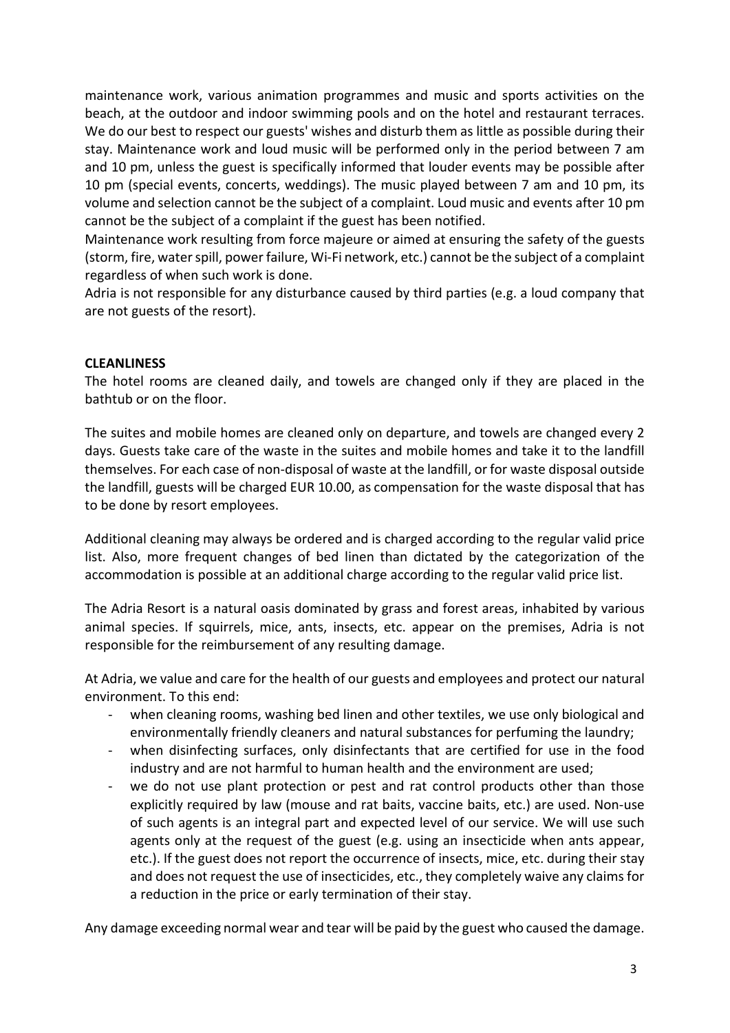maintenance work, various animation programmes and music and sports activities on the beach, at the outdoor and indoor swimming pools and on the hotel and restaurant terraces. We do our best to respect our guests' wishes and disturb them as little as possible during their stay. Maintenance work and loud music will be performed only in the period between 7 am and 10 pm, unless the guest is specifically informed that louder events may be possible after 10 pm (special events, concerts, weddings). The music played between 7 am and 10 pm, its volume and selection cannot be the subject of a complaint. Loud music and events after 10 pm cannot be the subject of a complaint if the guest has been notified.

Maintenance work resulting from force majeure or aimed at ensuring the safety of the guests (storm, fire, water spill, power failure, Wi-Fi network, etc.) cannot be the subject of a complaint regardless of when such work is done.

Adria is not responsible for any disturbance caused by third parties (e.g. a loud company that are not guests of the resort).

# **CLEANLINESS**

The hotel rooms are cleaned daily, and towels are changed only if they are placed in the bathtub or on the floor.

The suites and mobile homes are cleaned only on departure, and towels are changed every 2 days. Guests take care of the waste in the suites and mobile homes and take it to the landfill themselves. For each case of non-disposal of waste at the landfill, or for waste disposal outside the landfill, guests will be charged EUR 10.00, as compensation for the waste disposal that has to be done by resort employees.

Additional cleaning may always be ordered and is charged according to the regular valid price list. Also, more frequent changes of bed linen than dictated by the categorization of the accommodation is possible at an additional charge according to the regular valid price list.

The Adria Resort is a natural oasis dominated by grass and forest areas, inhabited by various animal species. If squirrels, mice, ants, insects, etc. appear on the premises, Adria is not responsible for the reimbursement of any resulting damage.

At Adria, we value and care for the health of our guests and employees and protect our natural environment. To this end:

- when cleaning rooms, washing bed linen and other textiles, we use only biological and environmentally friendly cleaners and natural substances for perfuming the laundry;
- when disinfecting surfaces, only disinfectants that are certified for use in the food industry and are not harmful to human health and the environment are used;
- we do not use plant protection or pest and rat control products other than those explicitly required by law (mouse and rat baits, vaccine baits, etc.) are used. Non-use of such agents is an integral part and expected level of our service. We will use such agents only at the request of the guest (e.g. using an insecticide when ants appear, etc.). If the guest does not report the occurrence of insects, mice, etc. during their stay and does not request the use of insecticides, etc., they completely waive any claims for a reduction in the price or early termination of their stay.

Any damage exceeding normal wear and tear will be paid by the guest who caused the damage.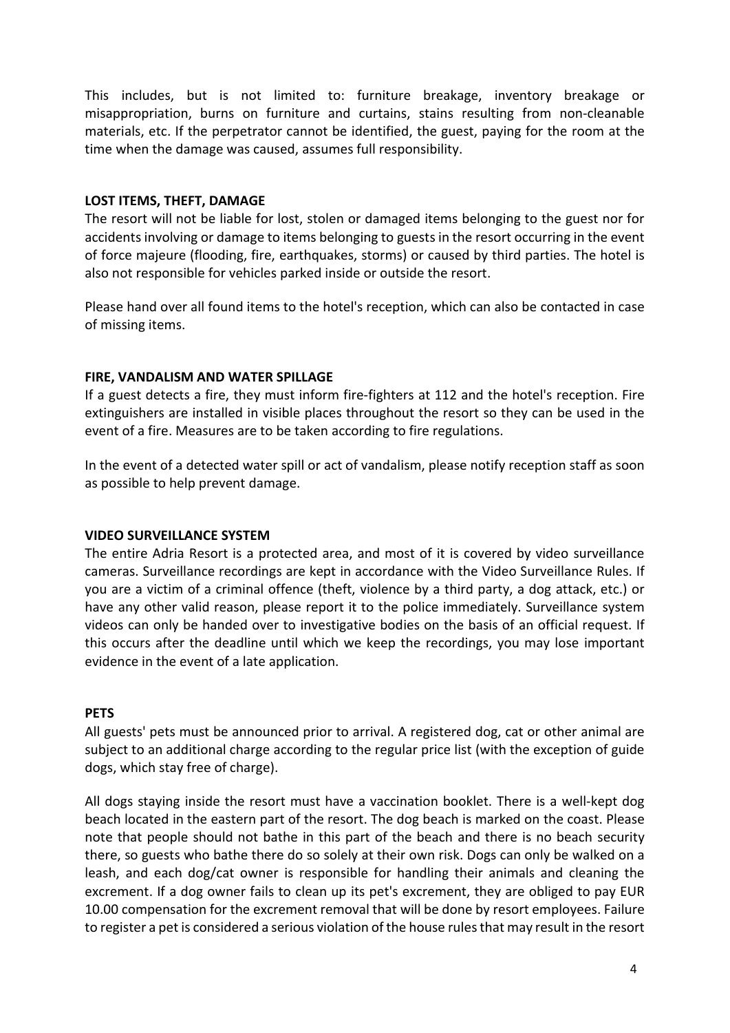This includes, but is not limited to: furniture breakage, inventory breakage or misappropriation, burns on furniture and curtains, stains resulting from non-cleanable materials, etc. If the perpetrator cannot be identified, the guest, paying for the room at the time when the damage was caused, assumes full responsibility.

#### LOST ITEMS, THEFT, DAMAGE

The resort will not be liable for lost, stolen or damaged items belonging to the guest nor for accidents involving or damage to items belonging to guests in the resort occurring in the event of force majeure (flooding, fire, earthquakes, storms) or caused by third parties. The hotel is also not responsible for vehicles parked inside or outside the resort.

Please hand over all found items to the hotel's reception, which can also be contacted in case of missing items.

#### FIRE, VANDALISM AND WATER SPILLAGE

If a guest detects a fire, they must inform fire-fighters at 112 and the hotel's reception. Fire extinguishers are installed in visible places throughout the resort so they can be used in the event of a fire. Measures are to be taken according to fire regulations.

In the event of a detected water spill or act of vandalism, please notify reception staff as soon as possible to help prevent damage.

#### VIDEO SURVEILLANCE SYSTEM

The entire Adria Resort is a protected area, and most of it is covered by video surveillance cameras. Surveillance recordings are kept in accordance with the Video Surveillance Rules. If you are a victim of a criminal offence (theft, violence by a third party, a dog attack, etc.) or have any other valid reason, please report it to the police immediately. Surveillance system videos can only be handed over to investigative bodies on the basis of an official request. If this occurs after the deadline until which we keep the recordings, you may lose important evidence in the event of a late application.

#### **PETS**

All guests' pets must be announced prior to arrival. A registered dog, cat or other animal are subject to an additional charge according to the regular price list (with the exception of guide dogs, which stay free of charge).

All dogs staying inside the resort must have a vaccination booklet. There is a well-kept dog beach located in the eastern part of the resort. The dog beach is marked on the coast. Please note that people should not bathe in this part of the beach and there is no beach security there, so guests who bathe there do so solely at their own risk. Dogs can only be walked on a leash, and each dog/cat owner is responsible for handling their animals and cleaning the excrement. If a dog owner fails to clean up its pet's excrement, they are obliged to pay EUR 10.00 compensation for the excrement removal that will be done by resort employees. Failure to register a pet is considered a serious violation of the house rules that may result in the resort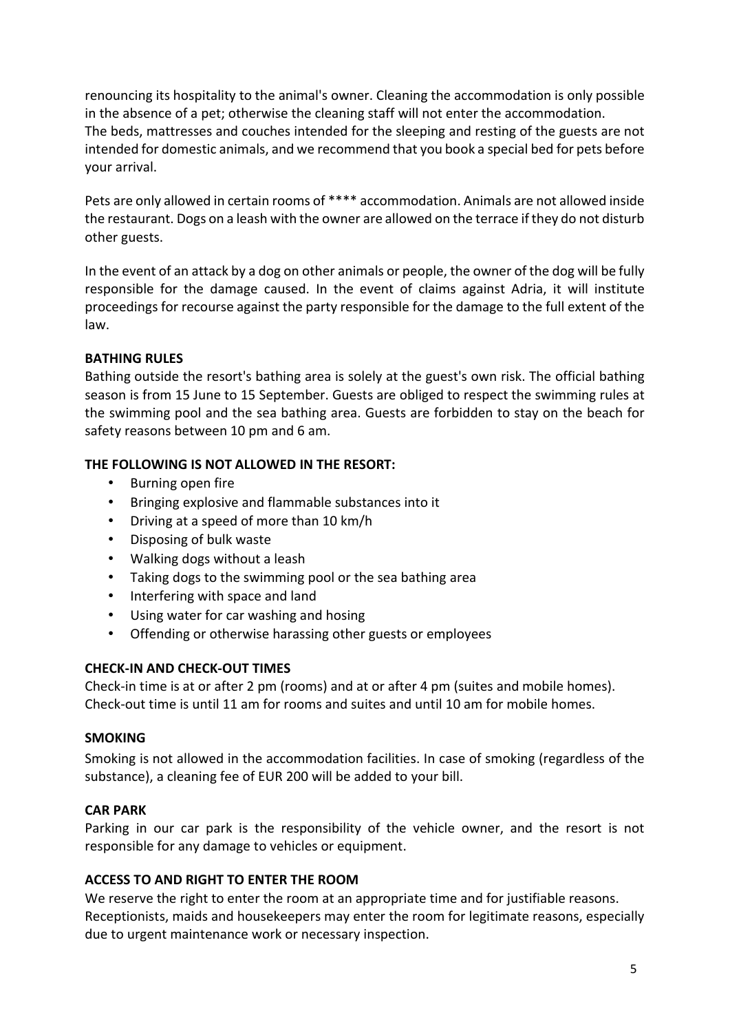renouncing its hospitality to the animal's owner. Cleaning the accommodation is only possible in the absence of a pet; otherwise the cleaning staff will not enter the accommodation. The beds, mattresses and couches intended for the sleeping and resting of the guests are not intended for domestic animals, and we recommend that you book a special bed for pets before your arrival.

Pets are only allowed in certain rooms of \*\*\*\* accommodation. Animals are not allowed inside the restaurant. Dogs on a leash with the owner are allowed on the terrace if they do not disturb other guests.

In the event of an attack by a dog on other animals or people, the owner of the dog will be fully responsible for the damage caused. In the event of claims against Adria, it will institute proceedings for recourse against the party responsible for the damage to the full extent of the law.

# BATHING RULES

Bathing outside the resort's bathing area is solely at the guest's own risk. The official bathing season is from 15 June to 15 September. Guests are obliged to respect the swimming rules at the swimming pool and the sea bathing area. Guests are forbidden to stay on the beach for safety reasons between 10 pm and 6 am.

# THE FOLLOWING IS NOT ALLOWED IN THE RESORT:

- Burning open fire
- Bringing explosive and flammable substances into it
- Driving at a speed of more than 10 km/h
- Disposing of bulk waste
- Walking dogs without a leash
- Taking dogs to the swimming pool or the sea bathing area
- Interfering with space and land
- Using water for car washing and hosing
- Offending or otherwise harassing other guests or employees

# CHECK-IN AND CHECK-OUT TIMES

Check-in time is at or after 2 pm (rooms) and at or after 4 pm (suites and mobile homes). Check-out time is until 11 am for rooms and suites and until 10 am for mobile homes.

# **SMOKING**

Smoking is not allowed in the accommodation facilities. In case of smoking (regardless of the substance), a cleaning fee of EUR 200 will be added to your bill.

# CAR PARK

Parking in our car park is the responsibility of the vehicle owner, and the resort is not responsible for any damage to vehicles or equipment.

# ACCESS TO AND RIGHT TO ENTER THE ROOM

We reserve the right to enter the room at an appropriate time and for justifiable reasons. Receptionists, maids and housekeepers may enter the room for legitimate reasons, especially due to urgent maintenance work or necessary inspection.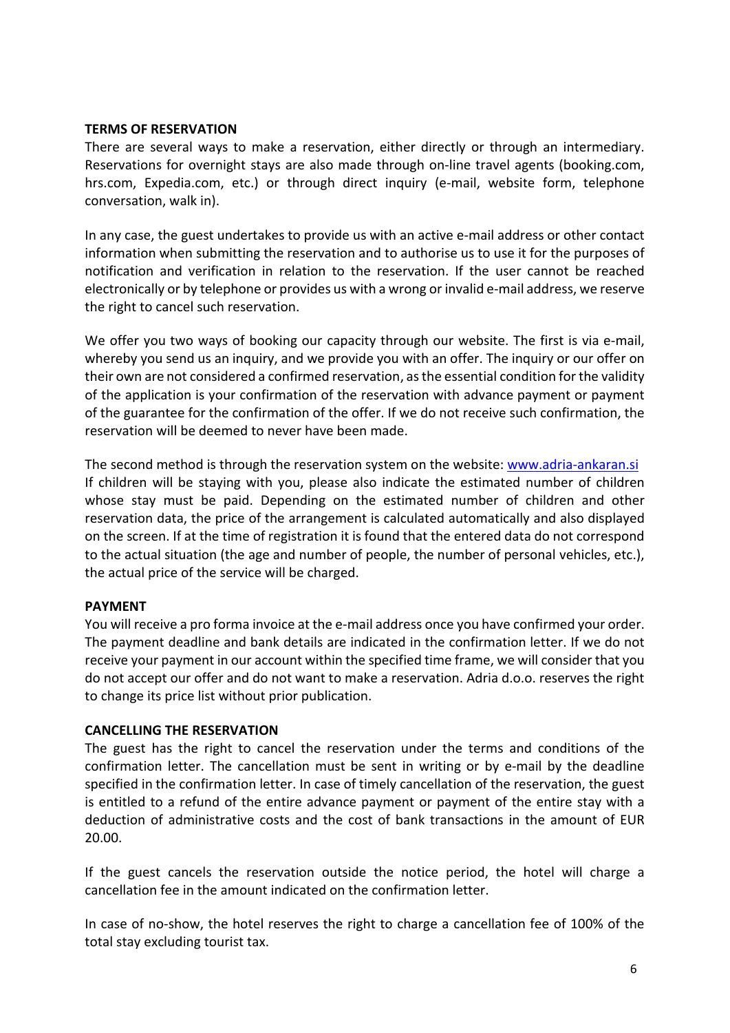#### TERMS OF RESERVATION

There are several ways to make a reservation, either directly or through an intermediary. Reservations for overnight stays are also made through on-line travel agents (booking.com, hrs.com, Expedia.com, etc.) or through direct inquiry (e-mail, website form, telephone conversation, walk in).

In any case, the guest undertakes to provide us with an active e-mail address or other contact information when submitting the reservation and to authorise us to use it for the purposes of notification and verification in relation to the reservation. If the user cannot be reached electronically or by telephone or provides us with a wrong or invalid e-mail address, we reserve the right to cancel such reservation.

We offer you two ways of booking our capacity through our website. The first is via e-mail, whereby you send us an inquiry, and we provide you with an offer. The inquiry or our offer on their own are not considered a confirmed reservation, as the essential condition for the validity of the application is your confirmation of the reservation with advance payment or payment of the guarantee for the confirmation of the offer. If we do not receive such confirmation, the reservation will be deemed to never have been made.

The second method is through the reservation system on the website: www.adria-ankaran.si If children will be staying with you, please also indicate the estimated number of children whose stay must be paid. Depending on the estimated number of children and other reservation data, the price of the arrangement is calculated automatically and also displayed on the screen. If at the time of registration it is found that the entered data do not correspond to the actual situation (the age and number of people, the number of personal vehicles, etc.), the actual price of the service will be charged.

#### PAYMENT

You will receive a pro forma invoice at the e-mail address once you have confirmed your order. The payment deadline and bank details are indicated in the confirmation letter. If we do not receive your payment in our account within the specified time frame, we will consider that you do not accept our offer and do not want to make a reservation. Adria d.o.o. reserves the right to change its price list without prior publication.

#### CANCELLING THE RESERVATION

The guest has the right to cancel the reservation under the terms and conditions of the confirmation letter. The cancellation must be sent in writing or by e-mail by the deadline specified in the confirmation letter. In case of timely cancellation of the reservation, the guest is entitled to a refund of the entire advance payment or payment of the entire stay with a deduction of administrative costs and the cost of bank transactions in the amount of EUR 20.00.

If the guest cancels the reservation outside the notice period, the hotel will charge a cancellation fee in the amount indicated on the confirmation letter.

In case of no-show, the hotel reserves the right to charge a cancellation fee of 100% of the total stay excluding tourist tax.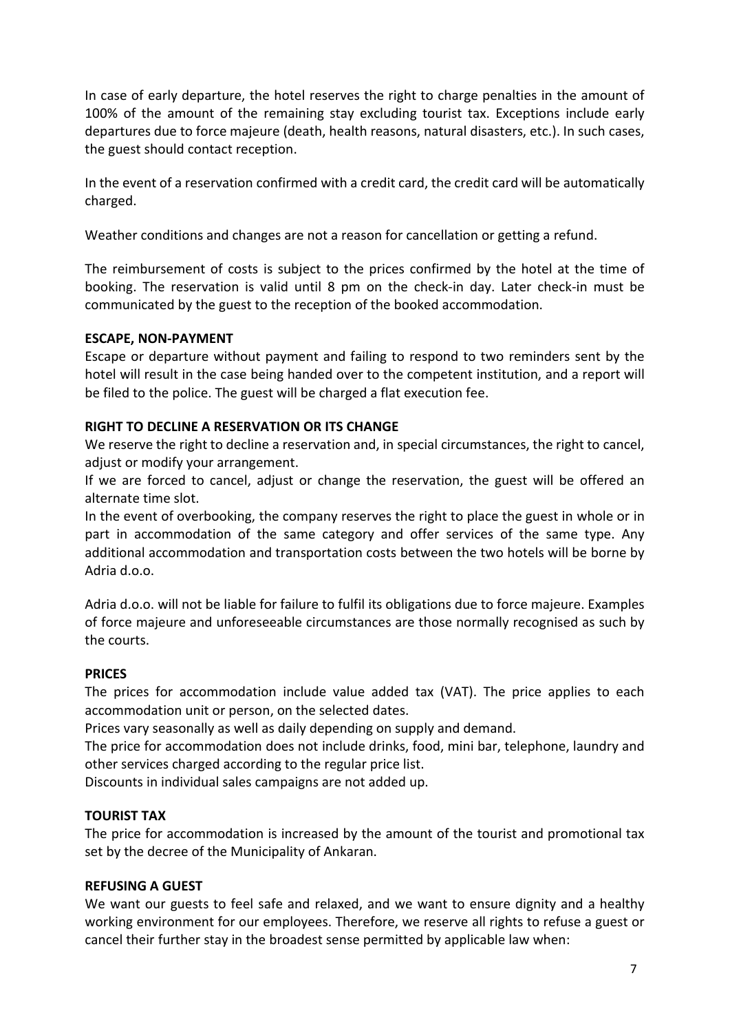In case of early departure, the hotel reserves the right to charge penalties in the amount of 100% of the amount of the remaining stay excluding tourist tax. Exceptions include early departures due to force majeure (death, health reasons, natural disasters, etc.). In such cases, the guest should contact reception.

In the event of a reservation confirmed with a credit card, the credit card will be automatically charged.

Weather conditions and changes are not a reason for cancellation or getting a refund.

The reimbursement of costs is subject to the prices confirmed by the hotel at the time of booking. The reservation is valid until 8 pm on the check-in day. Later check-in must be communicated by the guest to the reception of the booked accommodation.

# ESCAPE, NON-PAYMENT

Escape or departure without payment and failing to respond to two reminders sent by the hotel will result in the case being handed over to the competent institution, and a report will be filed to the police. The guest will be charged a flat execution fee.

# RIGHT TO DECLINE A RESERVATION OR ITS CHANGE

We reserve the right to decline a reservation and, in special circumstances, the right to cancel, adjust or modify your arrangement.

If we are forced to cancel, adjust or change the reservation, the guest will be offered an alternate time slot.

In the event of overbooking, the company reserves the right to place the guest in whole or in part in accommodation of the same category and offer services of the same type. Any additional accommodation and transportation costs between the two hotels will be borne by Adria d.o.o.

Adria d.o.o. will not be liable for failure to fulfil its obligations due to force majeure. Examples of force majeure and unforeseeable circumstances are those normally recognised as such by the courts.

# PRICES

The prices for accommodation include value added tax (VAT). The price applies to each accommodation unit or person, on the selected dates.

Prices vary seasonally as well as daily depending on supply and demand.

The price for accommodation does not include drinks, food, mini bar, telephone, laundry and other services charged according to the regular price list.

Discounts in individual sales campaigns are not added up.

# TOURIST TAX

The price for accommodation is increased by the amount of the tourist and promotional tax set by the decree of the Municipality of Ankaran.

# REFUSING A GUEST

We want our guests to feel safe and relaxed, and we want to ensure dignity and a healthy working environment for our employees. Therefore, we reserve all rights to refuse a guest or cancel their further stay in the broadest sense permitted by applicable law when: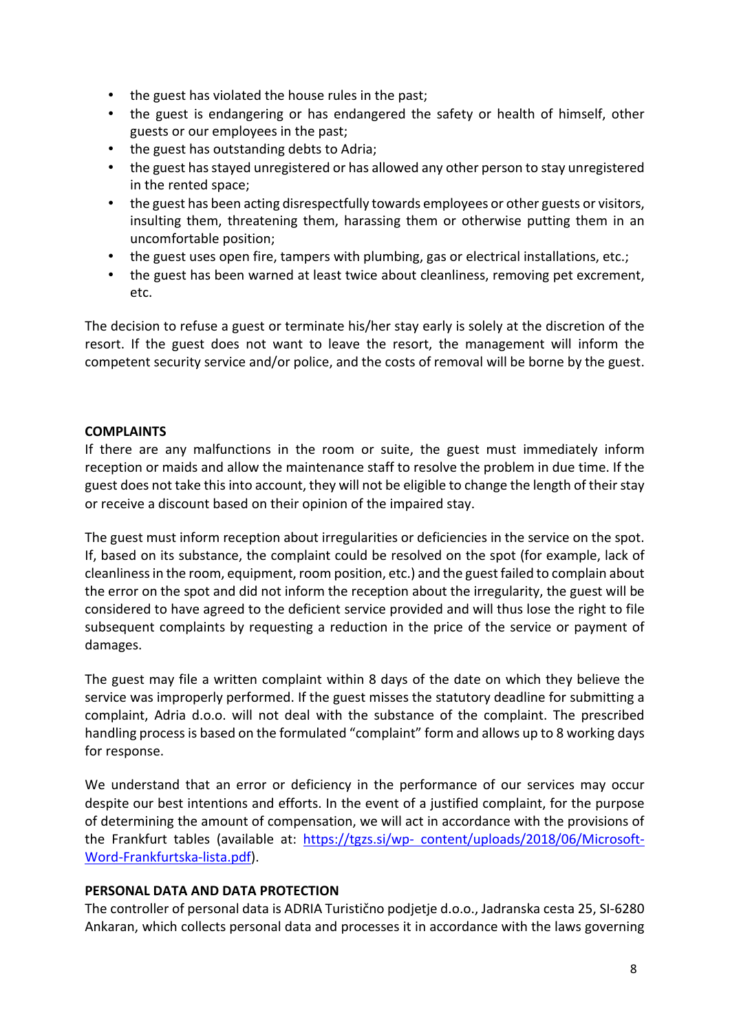- the guest has violated the house rules in the past;
- the guest is endangering or has endangered the safety or health of himself, other guests or our employees in the past;
- the guest has outstanding debts to Adria;
- the guest has stayed unregistered or has allowed any other person to stay unregistered in the rented space;
- the guest has been acting disrespectfully towards employees or other guests or visitors, insulting them, threatening them, harassing them or otherwise putting them in an uncomfortable position;
- the guest uses open fire, tampers with plumbing, gas or electrical installations, etc.;
- the guest has been warned at least twice about cleanliness, removing pet excrement, etc.

The decision to refuse a guest or terminate his/her stay early is solely at the discretion of the resort. If the guest does not want to leave the resort, the management will inform the competent security service and/or police, and the costs of removal will be borne by the guest.

#### **COMPLAINTS**

If there are any malfunctions in the room or suite, the guest must immediately inform reception or maids and allow the maintenance staff to resolve the problem in due time. If the guest does not take this into account, they will not be eligible to change the length of their stay or receive a discount based on their opinion of the impaired stay.

The guest must inform reception about irregularities or deficiencies in the service on the spot. If, based on its substance, the complaint could be resolved on the spot (for example, lack of cleanliness in the room, equipment, room position, etc.) and the guest failed to complain about the error on the spot and did not inform the reception about the irregularity, the guest will be considered to have agreed to the deficient service provided and will thus lose the right to file subsequent complaints by requesting a reduction in the price of the service or payment of damages.

The guest may file a written complaint within 8 days of the date on which they believe the service was improperly performed. If the guest misses the statutory deadline for submitting a complaint, Adria d.o.o. will not deal with the substance of the complaint. The prescribed handling process is based on the formulated "complaint" form and allows up to 8 working days for response.

We understand that an error or deficiency in the performance of our services may occur despite our best intentions and efforts. In the event of a justified complaint, for the purpose of determining the amount of compensation, we will act in accordance with the provisions of the Frankfurt tables (available at: https://tgzs.si/wp- content/uploads/2018/06/Microsoft-Word-Frankfurtska-lista.pdf).

#### PERSONAL DATA AND DATA PROTECTION

The controller of personal data is ADRIA Turistično podjetje d.o.o., Jadranska cesta 25, SI-6280 Ankaran, which collects personal data and processes it in accordance with the laws governing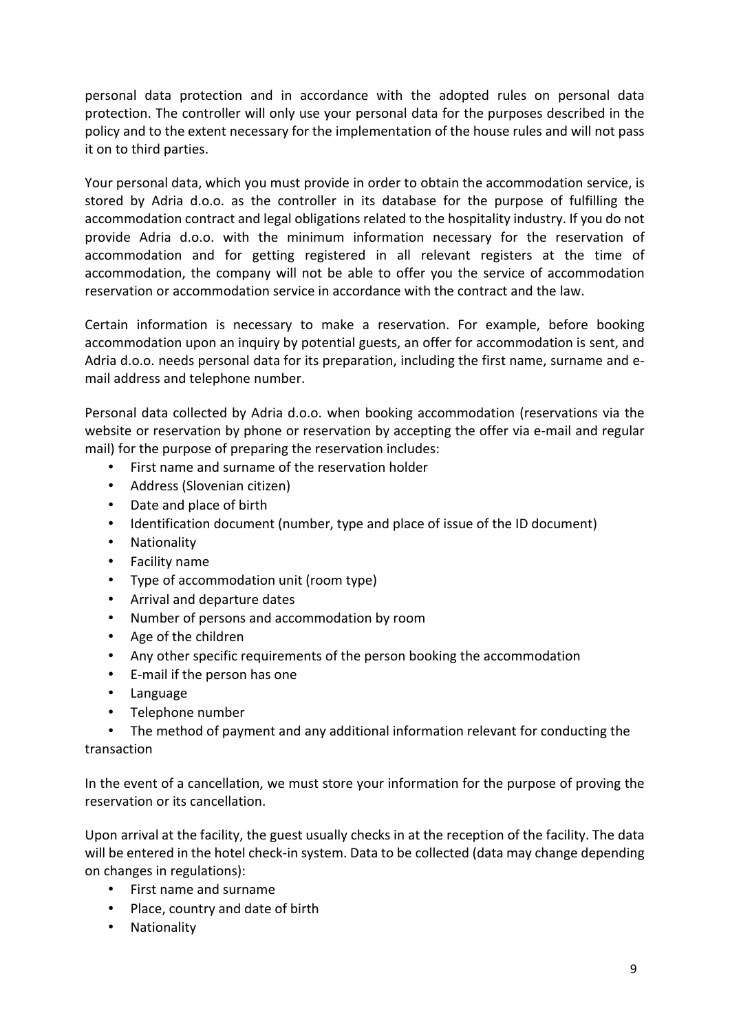personal data protection and in accordance with the adopted rules on personal data protection. The controller will only use your personal data for the purposes described in the policy and to the extent necessary for the implementation of the house rules and will not pass it on to third parties.

Your personal data, which you must provide in order to obtain the accommodation service, is stored by Adria d.o.o. as the controller in its database for the purpose of fulfilling the accommodation contract and legal obligations related to the hospitality industry. If you do not provide Adria d.o.o. with the minimum information necessary for the reservation of accommodation and for getting registered in all relevant registers at the time of accommodation, the company will not be able to offer you the service of accommodation reservation or accommodation service in accordance with the contract and the law.

Certain information is necessary to make a reservation. For example, before booking accommodation upon an inquiry by potential guests, an offer for accommodation is sent, and Adria d.o.o. needs personal data for its preparation, including the first name, surname and email address and telephone number.

Personal data collected by Adria d.o.o. when booking accommodation (reservations via the website or reservation by phone or reservation by accepting the offer via e-mail and regular mail) for the purpose of preparing the reservation includes:

- First name and surname of the reservation holder
- Address (Slovenian citizen)
- Date and place of birth
- Identification document (number, type and place of issue of the ID document)
- Nationality
- Facility name
- Type of accommodation unit (room type)
- Arrival and departure dates
- Number of persons and accommodation by room
- Age of the children
- Any other specific requirements of the person booking the accommodation
- E-mail if the person has one
- Language
- Telephone number
- The method of payment and any additional information relevant for conducting the

transaction

In the event of a cancellation, we must store your information for the purpose of proving the reservation or its cancellation.

Upon arrival at the facility, the guest usually checks in at the reception of the facility. The data will be entered in the hotel check-in system. Data to be collected (data may change depending on changes in regulations):

- First name and surname
- Place, country and date of birth
- Nationality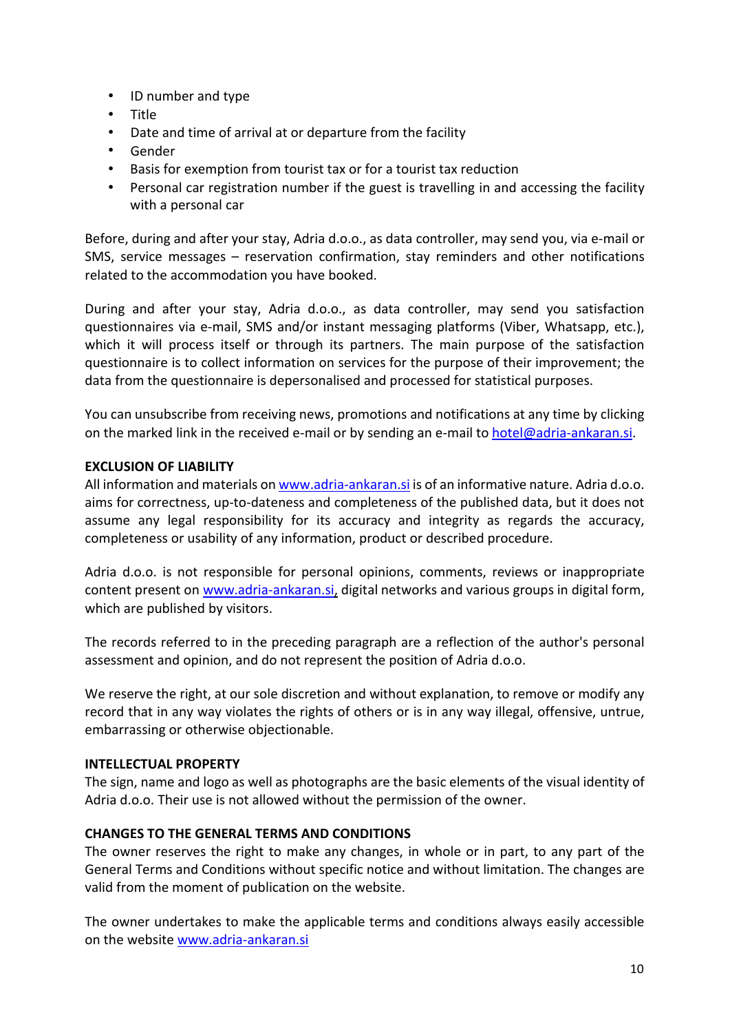- ID number and type
- Title
- Date and time of arrival at or departure from the facility
- Gender
- Basis for exemption from tourist tax or for a tourist tax reduction
- Personal car registration number if the guest is travelling in and accessing the facility with a personal car

Before, during and after your stay, Adria d.o.o., as data controller, may send you, via e-mail or SMS, service messages – reservation confirmation, stay reminders and other notifications related to the accommodation you have booked.

During and after your stay, Adria d.o.o., as data controller, may send you satisfaction questionnaires via e-mail, SMS and/or instant messaging platforms (Viber, Whatsapp, etc.), which it will process itself or through its partners. The main purpose of the satisfaction questionnaire is to collect information on services for the purpose of their improvement; the data from the questionnaire is depersonalised and processed for statistical purposes.

You can unsubscribe from receiving news, promotions and notifications at any time by clicking on the marked link in the received e-mail or by sending an e-mail to hotel@adria-ankaran.si.

#### EXCLUSION OF LIABILITY

All information and materials on www.adria-ankaran.si is of an informative nature. Adria d.o.o. aims for correctness, up-to-dateness and completeness of the published data, but it does not assume any legal responsibility for its accuracy and integrity as regards the accuracy, completeness or usability of any information, product or described procedure.

Adria d.o.o. is not responsible for personal opinions, comments, reviews or inappropriate content present on www.adria-ankaran.si, digital networks and various groups in digital form, which are published by visitors.

The records referred to in the preceding paragraph are a reflection of the author's personal assessment and opinion, and do not represent the position of Adria d.o.o.

We reserve the right, at our sole discretion and without explanation, to remove or modify any record that in any way violates the rights of others or is in any way illegal, offensive, untrue, embarrassing or otherwise objectionable.

#### INTELLECTUAL PROPERTY

The sign, name and logo as well as photographs are the basic elements of the visual identity of Adria d.o.o. Their use is not allowed without the permission of the owner.

# CHANGES TO THE GENERAL TERMS AND CONDITIONS

The owner reserves the right to make any changes, in whole or in part, to any part of the General Terms and Conditions without specific notice and without limitation. The changes are valid from the moment of publication on the website.

The owner undertakes to make the applicable terms and conditions always easily accessible on the website www.adria-ankaran.si